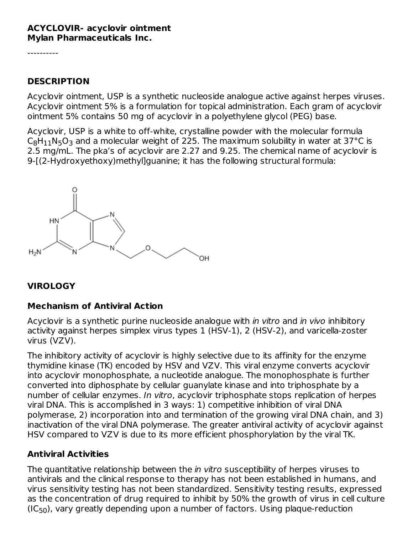#### **ACYCLOVIR- acyclovir ointment Mylan Pharmaceuticals Inc.**

----------

#### **DESCRIPTION**

Acyclovir ointment, USP is a synthetic nucleoside analogue active against herpes viruses. Acyclovir ointment 5% is a formulation for topical administration. Each gram of acyclovir ointment 5% contains 50 mg of acyclovir in a polyethylene glycol (PEG) base.

Acyclovir, USP is a white to off-white, crystalline powder with the molecular formula  $\mathsf{C}_8\mathsf{H}_{11}\mathsf{N}_5\mathsf{O}_3$  and a molecular weight of 225. The maximum solubility in water at 37°C is 2.5 mg/mL. The pka's of acyclovir are 2.27 and 9.25. The chemical name of acyclovir is 9-[(2-Hydroxyethoxy)methyl]guanine; it has the following structural formula:



### **VIROLOGY**

### **Mechanism of Antiviral Action**

Acyclovir is a synthetic purine nucleoside analogue with *in vitro* and *in vivo* inhibitory activity against herpes simplex virus types 1 (HSV-1), 2 (HSV-2), and varicella-zoster virus (VZV).

The inhibitory activity of acyclovir is highly selective due to its affinity for the enzyme thymidine kinase (TK) encoded by HSV and VZV. This viral enzyme converts acyclovir into acyclovir monophosphate, a nucleotide analogue. The monophosphate is further converted into diphosphate by cellular guanylate kinase and into triphosphate by a number of cellular enzymes. In vitro, acyclovir triphosphate stops replication of herpes viral DNA. This is accomplished in 3 ways: 1) competitive inhibition of viral DNA polymerase, 2) incorporation into and termination of the growing viral DNA chain, and 3) inactivation of the viral DNA polymerase. The greater antiviral activity of acyclovir against HSV compared to VZV is due to its more efficient phosphorylation by the viral TK.

#### **Antiviral Activities**

The quantitative relationship between the *in vitro* susceptibility of herpes viruses to antivirals and the clinical response to therapy has not been established in humans, and virus sensitivity testing has not been standardized. Sensitivity testing results, expressed as the concentration of drug required to inhibit by 50% the growth of virus in cell culture  $(IC_{50})$ , vary greatly depending upon a number of factors. Using plaque-reduction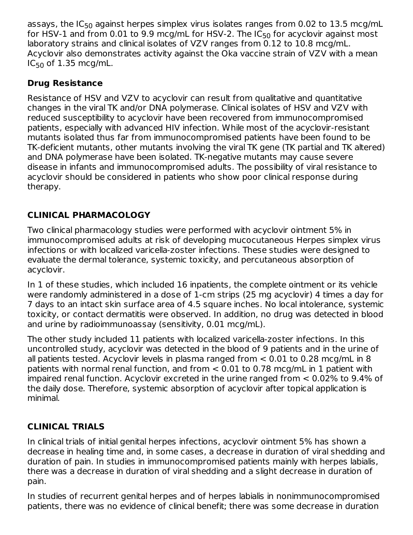assays, the IC<sub>50</sub> against herpes simplex virus isolates ranges from 0.02 to  $13.5$  mcg/mL for HSV-1 and from 0.01 to 9.9 mcg/mL for HSV-2. The IC $_{\rm 50}$  for acyclovir against most laboratory strains and clinical isolates of VZV ranges from 0.12 to 10.8 mcg/mL. Acyclovir also demonstrates activity against the Oka vaccine strain of VZV with a mean  $IC_{50}$  of  $1.35$  mcg/mL. 50

# **Drug Resistance**

Resistance of HSV and VZV to acyclovir can result from qualitative and quantitative changes in the viral TK and/or DNA polymerase. Clinical isolates of HSV and VZV with reduced susceptibility to acyclovir have been recovered from immunocompromised patients, especially with advanced HIV infection. While most of the acyclovir-resistant mutants isolated thus far from immunocompromised patients have been found to be TK-deficient mutants, other mutants involving the viral TK gene (TK partial and TK altered) and DNA polymerase have been isolated. TK-negative mutants may cause severe disease in infants and immunocompromised adults. The possibility of viral resistance to acyclovir should be considered in patients who show poor clinical response during therapy.

# **CLINICAL PHARMACOLOGY**

Two clinical pharmacology studies were performed with acyclovir ointment 5% in immunocompromised adults at risk of developing mucocutaneous Herpes simplex virus infections or with localized varicella-zoster infections. These studies were designed to evaluate the dermal tolerance, systemic toxicity, and percutaneous absorption of acyclovir.

In 1 of these studies, which included 16 inpatients, the complete ointment or its vehicle were randomly administered in a dose of 1-cm strips (25 mg acyclovir) 4 times a day for 7 days to an intact skin surface area of 4.5 square inches. No local intolerance, systemic toxicity, or contact dermatitis were observed. In addition, no drug was detected in blood and urine by radioimmunoassay (sensitivity, 0.01 mcg/mL).

The other study included 11 patients with localized varicella-zoster infections. In this uncontrolled study, acyclovir was detected in the blood of 9 patients and in the urine of all patients tested. Acyclovir levels in plasma ranged from < 0.01 to 0.28 mcg/mL in 8 patients with normal renal function, and from < 0.01 to 0.78 mcg/mL in 1 patient with impaired renal function. Acyclovir excreted in the urine ranged from < 0.02% to 9.4% of the daily dose. Therefore, systemic absorption of acyclovir after topical application is minimal.

# **CLINICAL TRIALS**

In clinical trials of initial genital herpes infections, acyclovir ointment 5% has shown a decrease in healing time and, in some cases, a decrease in duration of viral shedding and duration of pain. In studies in immunocompromised patients mainly with herpes labialis, there was a decrease in duration of viral shedding and a slight decrease in duration of pain.

In studies of recurrent genital herpes and of herpes labialis in nonimmunocompromised patients, there was no evidence of clinical benefit; there was some decrease in duration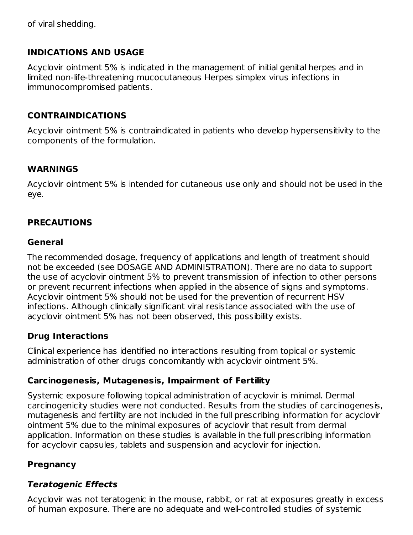of viral shedding.

### **INDICATIONS AND USAGE**

Acyclovir ointment 5% is indicated in the management of initial genital herpes and in limited non-life-threatening mucocutaneous Herpes simplex virus infections in immunocompromised patients.

### **CONTRAINDICATIONS**

Acyclovir ointment 5% is contraindicated in patients who develop hypersensitivity to the components of the formulation.

#### **WARNINGS**

Acyclovir ointment 5% is intended for cutaneous use only and should not be used in the eye.

### **PRECAUTIONS**

#### **General**

The recommended dosage, frequency of applications and length of treatment should not be exceeded (see DOSAGE AND ADMINISTRATION). There are no data to support the use of acyclovir ointment 5% to prevent transmission of infection to other persons or prevent recurrent infections when applied in the absence of signs and symptoms. Acyclovir ointment 5% should not be used for the prevention of recurrent HSV infections. Although clinically significant viral resistance associated with the use of acyclovir ointment 5% has not been observed, this possibility exists.

### **Drug Interactions**

Clinical experience has identified no interactions resulting from topical or systemic administration of other drugs concomitantly with acyclovir ointment 5%.

### **Carcinogenesis, Mutagenesis, Impairment of Fertility**

Systemic exposure following topical administration of acyclovir is minimal. Dermal carcinogenicity studies were not conducted. Results from the studies of carcinogenesis, mutagenesis and fertility are not included in the full prescribing information for acyclovir ointment 5% due to the minimal exposures of acyclovir that result from dermal application. Information on these studies is available in the full prescribing information for acyclovir capsules, tablets and suspension and acyclovir for injection.

### **Pregnancy**

### **Teratogenic Effects**

Acyclovir was not teratogenic in the mouse, rabbit, or rat at exposures greatly in excess of human exposure. There are no adequate and well-controlled studies of systemic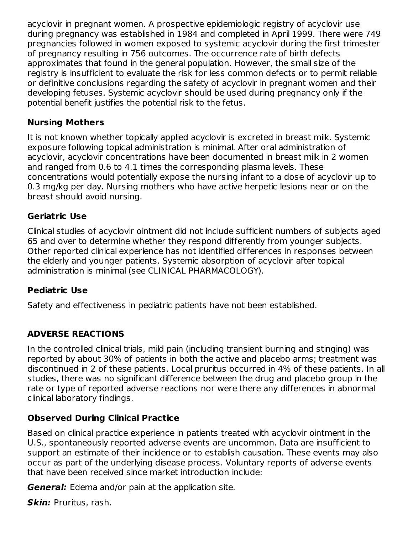acyclovir in pregnant women. A prospective epidemiologic registry of acyclovir use during pregnancy was established in 1984 and completed in April 1999. There were 749 pregnancies followed in women exposed to systemic acyclovir during the first trimester of pregnancy resulting in 756 outcomes. The occurrence rate of birth defects approximates that found in the general population. However, the small size of the registry is insufficient to evaluate the risk for less common defects or to permit reliable or definitive conclusions regarding the safety of acyclovir in pregnant women and their developing fetuses. Systemic acyclovir should be used during pregnancy only if the potential benefit justifies the potential risk to the fetus.

### **Nursing Mothers**

It is not known whether topically applied acyclovir is excreted in breast milk. Systemic exposure following topical administration is minimal. After oral administration of acyclovir, acyclovir concentrations have been documented in breast milk in 2 women and ranged from 0.6 to 4.1 times the corresponding plasma levels. These concentrations would potentially expose the nursing infant to a dose of acyclovir up to 0.3 mg/kg per day. Nursing mothers who have active herpetic lesions near or on the breast should avoid nursing.

### **Geriatric Use**

Clinical studies of acyclovir ointment did not include sufficient numbers of subjects aged 65 and over to determine whether they respond differently from younger subjects. Other reported clinical experience has not identified differences in responses between the elderly and younger patients. Systemic absorption of acyclovir after topical administration is minimal (see CLINICAL PHARMACOLOGY).

# **Pediatric Use**

Safety and effectiveness in pediatric patients have not been established.

# **ADVERSE REACTIONS**

In the controlled clinical trials, mild pain (including transient burning and stinging) was reported by about 30% of patients in both the active and placebo arms; treatment was discontinued in 2 of these patients. Local pruritus occurred in 4% of these patients. In all studies, there was no significant difference between the drug and placebo group in the rate or type of reported adverse reactions nor were there any differences in abnormal clinical laboratory findings.

# **Observed During Clinical Practice**

Based on clinical practice experience in patients treated with acyclovir ointment in the U.S., spontaneously reported adverse events are uncommon. Data are insufficient to support an estimate of their incidence or to establish causation. These events may also occur as part of the underlying disease process. Voluntary reports of adverse events that have been received since market introduction include:

**General:** Edema and/or pain at the application site.

**Skin:** Pruritus, rash.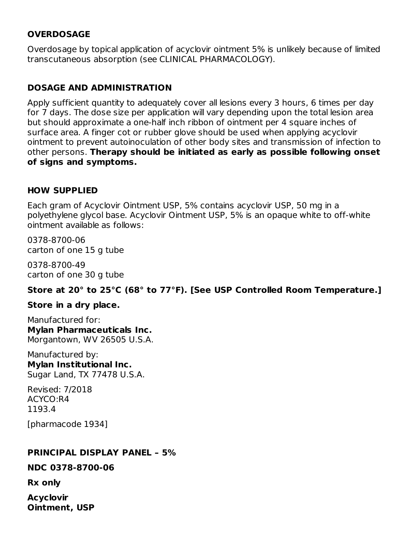### **OVERDOSAGE**

Overdosage by topical application of acyclovir ointment 5% is unlikely because of limited transcutaneous absorption (see CLINICAL PHARMACOLOGY).

# **DOSAGE AND ADMINISTRATION**

Apply sufficient quantity to adequately cover all lesions every 3 hours, 6 times per day for 7 days. The dose size per application will vary depending upon the total lesion area but should approximate a one-half inch ribbon of ointment per 4 square inches of surface area. A finger cot or rubber glove should be used when applying acyclovir ointment to prevent autoinoculation of other body sites and transmission of infection to other persons. **Therapy should be initiated as early as possible following onset of signs and symptoms.**

#### **HOW SUPPLIED**

Each gram of Acyclovir Ointment USP, 5% contains acyclovir USP, 50 mg in a polyethylene glycol base. Acyclovir Ointment USP, 5% is an opaque white to off-white ointment available as follows:

0378-8700-06 carton of one 15 g tube

0378-8700-49 carton of one 30 g tube

**Store at 20° to 25°C (68° to 77°F). [See USP Controlled Room Temperature.]**

#### **Store in a dry place.**

Manufactured for: **Mylan Pharmaceuticals Inc.** Morgantown, WV 26505 U.S.A.

Manufactured by: **Mylan Institutional Inc.** Sugar Land, TX 77478 U.S.A.

Revised: 7/2018 ACYCO:R4 1193.4

[pharmacode 1934]

#### **PRINCIPAL DISPLAY PANEL – 5%**

#### **NDC 0378-8700-06**

**Rx only**

**Acyclovir Ointment, USP**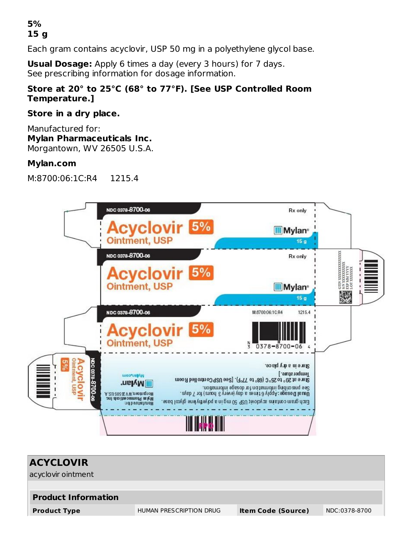### **5% 15 g**

Each gram contains acyclovir, USP 50 mg in a polyethylene glycol base.

**Usual Dosage:** Apply 6 times a day (every 3 hours) for 7 days. See prescribing information for dosage information.

### **Store at 20° to 25°C (68° to 77°F). [See USP Controlled Room Temperature.]**

#### **Store in a dry place.**

Manufactured for: **Mylan Pharmaceuticals Inc.** Morgantown, WV 26505 U.S.A.

#### **Mylan.com**

M:8700:06:1C:R4 1215.4



| <b>ACYCLOVIR</b>           |                         |                           |               |
|----------------------------|-------------------------|---------------------------|---------------|
| acyclovir ointment         |                         |                           |               |
|                            |                         |                           |               |
| <b>Product Information</b> |                         |                           |               |
| <b>Product Type</b>        | HUMAN PRESCRIPTION DRUG | <b>Item Code (Source)</b> | NDC:0378-8700 |